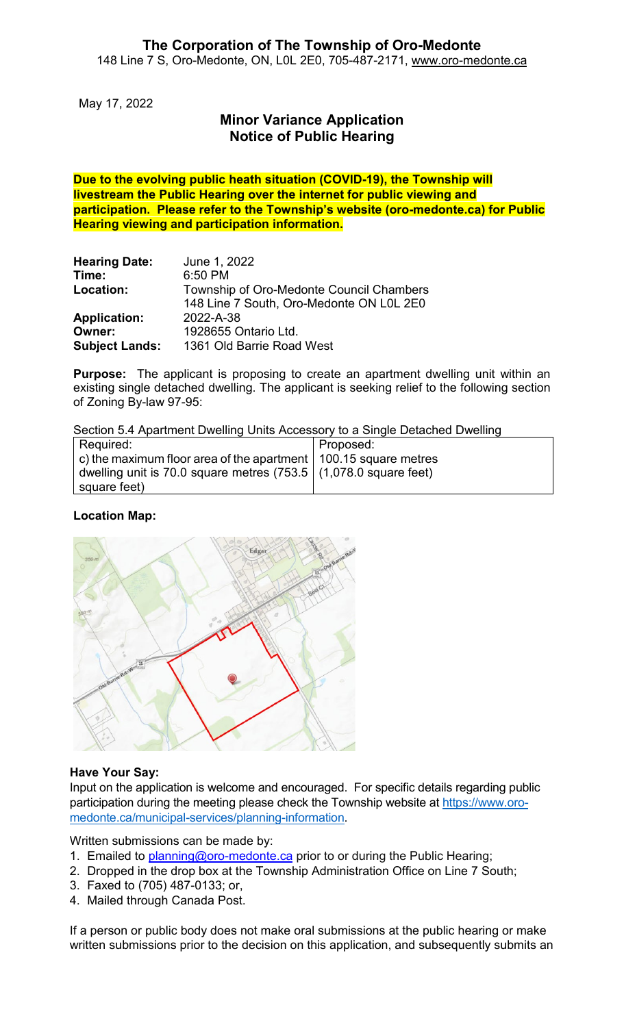May 17, 2022

# **Minor Variance Application Notice of Public Hearing**

**Due to the evolving public heath situation (COVID-19), the Township will livestream the Public Hearing over the internet for public viewing and participation. Please refer to the Township's website (oro-medonte.ca) for Public Hearing viewing and participation information.**

| <b>Hearing Date:</b>  | June 1, 2022                             |
|-----------------------|------------------------------------------|
| Time:                 | 6:50 PM                                  |
| Location:             | Township of Oro-Medonte Council Chambers |
|                       | 148 Line 7 South, Oro-Medonte ON L0L 2E0 |
| <b>Application:</b>   | 2022-A-38                                |
| Owner:                | 1928655 Ontario Ltd.                     |
| <b>Subject Lands:</b> | 1361 Old Barrie Road West                |

**Purpose:** The applicant is proposing to create an apartment dwelling unit within an existing single detached dwelling. The applicant is seeking relief to the following section of Zoning By-law 97-95:

Section 5.4 Apartment Dwelling Units Accessory to a Single Detached Dwelling

| Required:                                                                       | Proposed: |
|---------------------------------------------------------------------------------|-----------|
| $\vert$ c) the maximum floor area of the apartment $\vert$ 100.15 square metres |           |
| dwelling unit is 70.0 square metres (753.5 $(1,078.0$ square feet)              |           |
| square feet)                                                                    |           |

#### **Location Map:**



#### **Have Your Say:**

Input on the application is welcome and encouraged. For specific details regarding public participation during the meeting please check the Township website at [https://www.oro](https://www.oro-medonte.ca/municipal-services/planning-information)[medonte.ca/municipal-services/planning-information.](https://www.oro-medonte.ca/municipal-services/planning-information)

Written submissions can be made by:

- 1. Emailed to [planning@oro-medonte.ca](mailto:planning@oro-medonte.ca) prior to or during the Public Hearing;
- 2. Dropped in the drop box at the Township Administration Office on Line 7 South;
- 3. Faxed to (705) 487-0133; or,
- 4. Mailed through Canada Post.

If a person or public body does not make oral submissions at the public hearing or make written submissions prior to the decision on this application, and subsequently submits an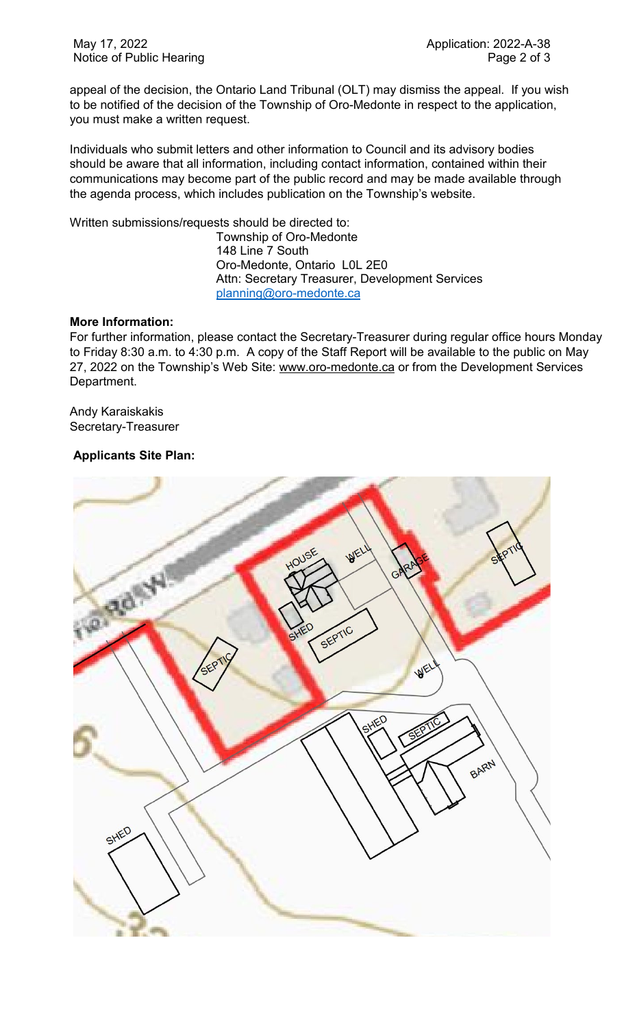appeal of the decision, the Ontario Land Tribunal (OLT) may dismiss the appeal. If you wish to be notified of the decision of the Township of Oro-Medonte in respect to the application, you must make a written request.

Individuals who submit letters and other information to Council and its advisory bodies should be aware that all information, including contact information, contained within their communications may become part of the public record and may be made available through the agenda process, which includes publication on the Township's website.

Written submissions/requests should be directed to:

Township of Oro-Medonte 148 Line 7 South Oro-Medonte, Ontario L0L 2E0 Attn: Secretary Treasurer, Development Services [planning@oro-medonte.ca](mailto:planning@oro-medonte.ca)

### **More Information:**

For further information, please contact the Secretary-Treasurer during regular office hours Monday to Friday 8:30 a.m. to 4:30 p.m. A copy of the Staff Report will be available to the public on May 27, 2022 on the Township's Web Site: [www.oro-medonte.ca](http://www.oro-medonte.ca/) or from the Development Services Department.

Andy Karaiskakis Secretary-Treasurer

## **Applicants Site Plan:**